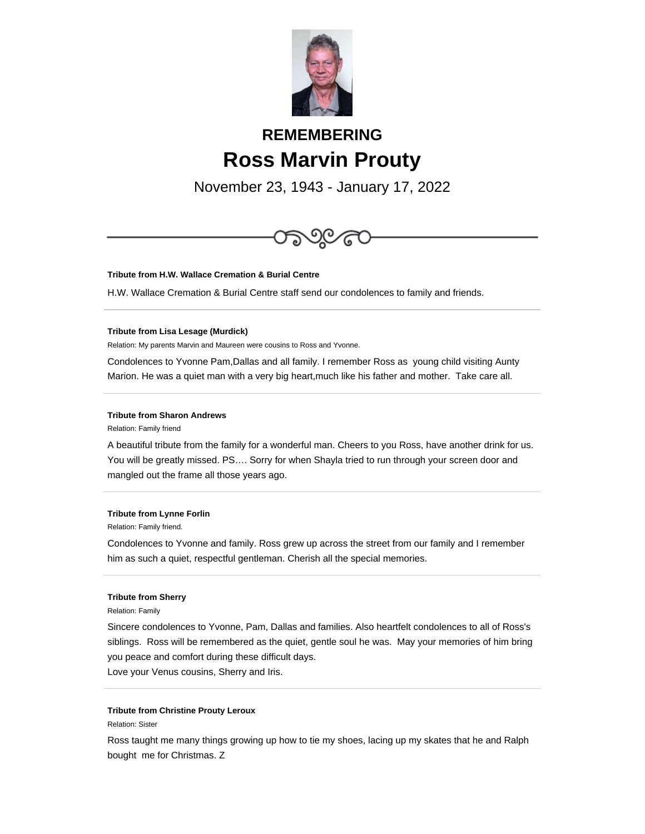

# **REMEMBERING Ross Marvin Prouty**

November 23, 1943 - January 17, 2022



# **Tribute from H.W. Wallace Cremation & Burial Centre**

H.W. Wallace Cremation & Burial Centre staff send our condolences to family and friends.

#### **Tribute from Lisa Lesage (Murdick)**

Relation: My parents Marvin and Maureen were cousins to Ross and Yvonne.

Condolences to Yvonne Pam,Dallas and all family. I remember Ross as young child visiting Aunty Marion. He was a quiet man with a very big heart,much like his father and mother. Take care all.

## **Tribute from Sharon Andrews**

Relation: Family friend

A beautiful tribute from the family for a wonderful man. Cheers to you Ross, have another drink for us. You will be greatly missed. PS…. Sorry for when Shayla tried to run through your screen door and mangled out the frame all those years ago.

#### **Tribute from Lynne Forlin**

Relation: Family friend.

Condolences to Yvonne and family. Ross grew up across the street from our family and I remember him as such a quiet, respectful gentleman. Cherish all the special memories.

### **Tribute from Sherry**

Relation: Family

Sincere condolences to Yvonne, Pam, Dallas and families. Also heartfelt condolences to all of Ross's siblings. Ross will be remembered as the quiet, gentle soul he was. May your memories of him bring you peace and comfort during these difficult days.

Love your Venus cousins, Sherry and Iris.

# **Tribute from Christine Prouty Leroux**

Relation: Sister

Ross taught me many things growing up how to tie my shoes, lacing up my skates that he and Ralph bought me for Christmas. Z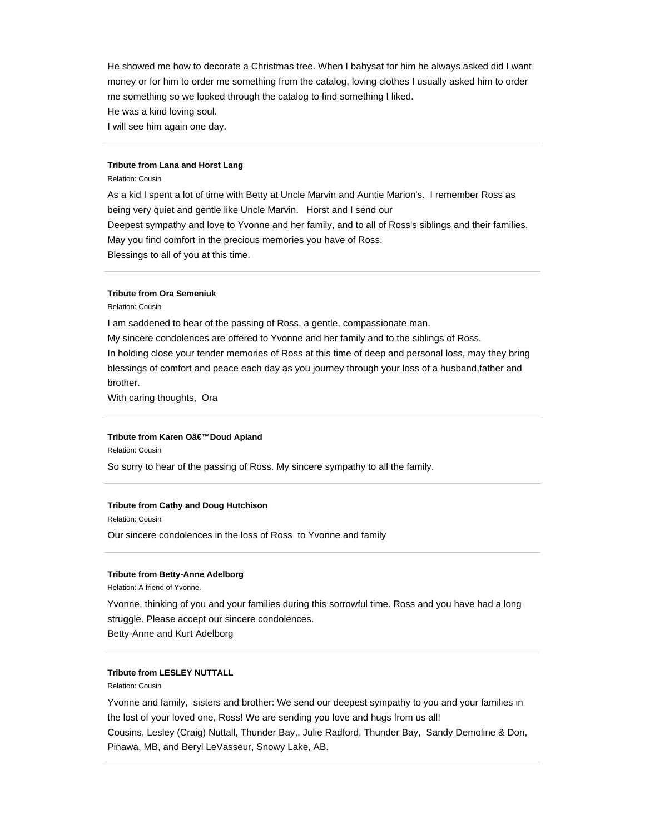He showed me how to decorate a Christmas tree. When I babysat for him he always asked did I want money or for him to order me something from the catalog, loving clothes I usually asked him to order me something so we looked through the catalog to find something I liked.

He was a kind loving soul.

I will see him again one day.

## **Tribute from Lana and Horst Lang**

Relation: Cousin

As a kid I spent a lot of time with Betty at Uncle Marvin and Auntie Marion's. I remember Ross as being very quiet and gentle like Uncle Marvin. Horst and I send our Deepest sympathy and love to Yvonne and her family, and to all of Ross's siblings and their families. May you find comfort in the precious memories you have of Ross. Blessings to all of you at this time.

## **Tribute from Ora Semeniuk**

Relation: Cousin

I am saddened to hear of the passing of Ross, a gentle, compassionate man. My sincere condolences are offered to Yvonne and her family and to the siblings of Ross. In holding close your tender memories of Ross at this time of deep and personal loss, may they bring blessings of comfort and peace each day as you journey through your loss of a husband,father and brother.

With caring thoughts, Ora

# **Tribute from Karen O'Doud Apland**

Relation: Cousin

So sorry to hear of the passing of Ross. My sincere sympathy to all the family.

#### **Tribute from Cathy and Doug Hutchison**

Relation: Cousin

Our sincere condolences in the loss of Ross to Yvonne and family

### **Tribute from Betty-Anne Adelborg**

Relation: A friend of Yvonne.

Yvonne, thinking of you and your families during this sorrowful time. Ross and you have had a long struggle. Please accept our sincere condolences.

Betty-Anne and Kurt Adelborg

# **Tribute from LESLEY NUTTALL**

Relation: Cousin

Yvonne and family, sisters and brother: We send our deepest sympathy to you and your families in the lost of your loved one, Ross! We are sending you love and hugs from us all! Cousins, Lesley (Craig) Nuttall, Thunder Bay,, Julie Radford, Thunder Bay, Sandy Demoline & Don, Pinawa, MB, and Beryl LeVasseur, Snowy Lake, AB.